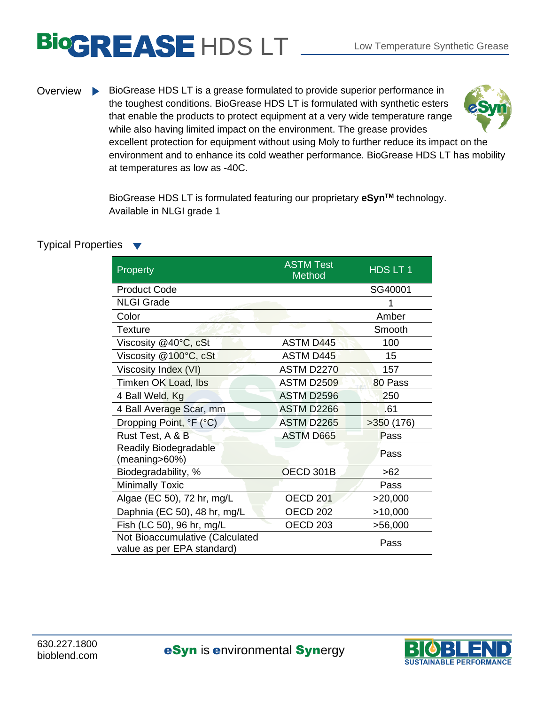## BIOGREASE HDS LT LOW Temperature Synthetic Grease

Overview BioGrease HDS LT is a grease formulated to provide superior performance in the toughest conditions. BioGrease HDS LT is formulated with synthetic esters that enable the products to protect equipment at a very wide temperature range while also having limited impact on the environment. The grease provides excellent protection for equipment without using Moly to further reduce its impact on the environment and to enhance its cold weather performance. BioGrease HDS LT has mobility at temperatures as low as -40C.

> BioGrease HDS LT is formulated featuring our proprietary **eSynTM** technology. Available in NLGI grade 1

## Typical Properties

| Property                                                      | <b>ASTM Test</b><br>Method | HDSLT1    |
|---------------------------------------------------------------|----------------------------|-----------|
| <b>Product Code</b>                                           |                            | SG40001   |
| <b>NLGI Grade</b>                                             |                            |           |
| Color                                                         |                            | Amber     |
| <b>Texture</b>                                                |                            | Smooth    |
| Viscosity @40°C, cSt                                          | <b>ASTM D445</b>           | 100       |
| Viscosity @100°C, cSt                                         | <b>ASTM D445</b>           | 15        |
| Viscosity Index (VI)                                          | <b>ASTM D2270</b>          | 157       |
| Timken OK Load, Ibs                                           | <b>ASTM D2509</b>          | 80 Pass   |
| 4 Ball Weld, Kg                                               | ASTM D2596                 | 250       |
| 4 Ball Average Scar, mm                                       | <b>ASTM D2266</b>          | .61       |
| Dropping Point, °F (°C)                                       | <b>ASTM D2265</b>          | >350(176) |
| Rust Test, A & B                                              | <b>ASTM D665</b>           | Pass      |
| Readily Biodegradable<br>(meaning>60%)                        |                            | Pass      |
| Biodegradability, %                                           | OECD 301B                  | $>62$     |
| <b>Minimally Toxic</b>                                        |                            | Pass      |
| Algae (EC 50), 72 hr, mg/L                                    | <b>OECD 201</b>            | >20,000   |
| Daphnia (EC 50), 48 hr, mg/L                                  | <b>OECD 202</b>            | >10,000   |
| Fish (LC 50), 96 hr, mg/L                                     | OECD <sub>203</sub>        | >56,000   |
| Not Bioaccumulative (Calculated<br>value as per EPA standard) |                            | Pass      |